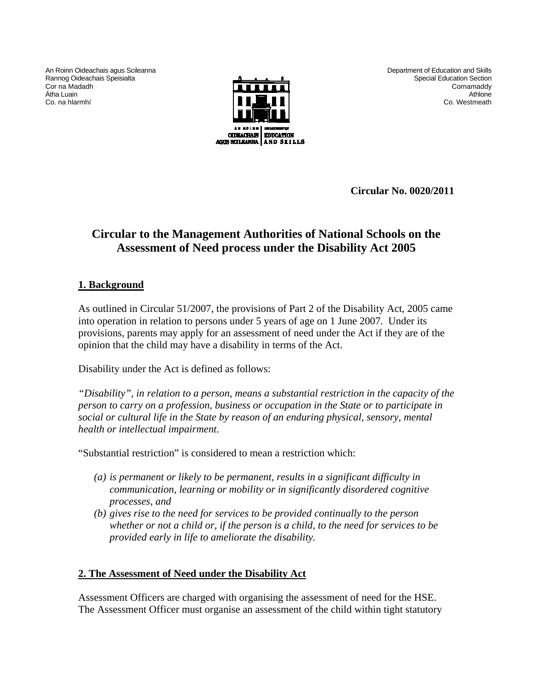An Roinn Oideachais agus Scileanna Rannog Oideachais Speisialta Cor na Madadh Átha Luain Co. na hlarmhí



Department of Education and Skills Special Education Section **Cornamaddy** Athlone Co. Westmeath

**Circular No. 0020/2011** 

# **Circular to the Management Authorities of National Schools on the Assessment of Need process under the Disability Act 2005**

### **1. Background**

As outlined in Circular 51/2007, the provisions of Part 2 of the Disability Act, 2005 came into operation in relation to persons under 5 years of age on 1 June 2007. Under its provisions, parents may apply for an assessment of need under the Act if they are of the opinion that the child may have a disability in terms of the Act.

Disability under the Act is defined as follows:

*"Disability", in relation to a person, means a substantial restriction in the capacity of the person to carry on a profession, business or occupation in the State or to participate in social or cultural life in the State by reason of an enduring physical, sensory, mental health or intellectual impairment.* 

"Substantial restriction" is considered to mean a restriction which:

- *(a) is permanent or likely to be permanent, results in a significant difficulty in communication, learning or mobility or in significantly disordered cognitive processes, and*
- *(b) gives rise to the need for services to be provided continually to the person whether or not a child or, if the person is a child, to the need for services to be provided early in life to ameliorate the disability.*

### **2. The Assessment of Need under the Disability Act**

Assessment Officers are charged with organising the assessment of need for the HSE. The Assessment Officer must organise an assessment of the child within tight statutory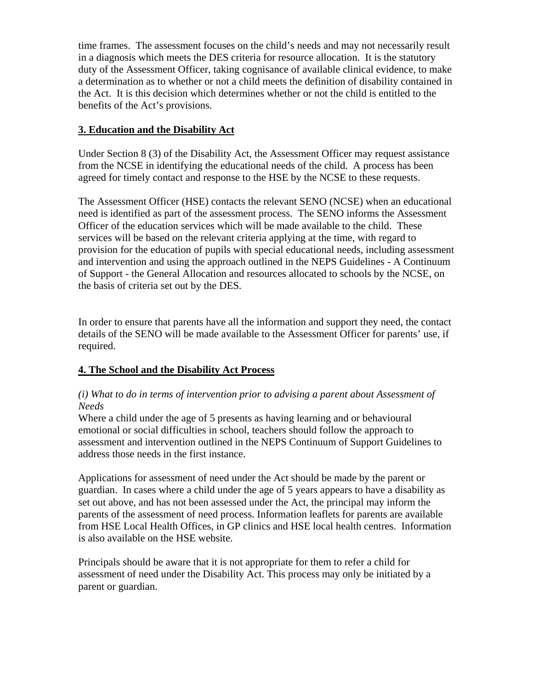time frames. The assessment focuses on the child's needs and may not necessarily result in a diagnosis which meets the DES criteria for resource allocation. It is the statutory duty of the Assessment Officer, taking cognisance of available clinical evidence, to make a determination as to whether or not a child meets the definition of disability contained in the Act. It is this decision which determines whether or not the child is entitled to the benefits of the Act's provisions.

## **3. Education and the Disability Act**

Under Section 8 (3) of the Disability Act, the Assessment Officer may request assistance from the NCSE in identifying the educational needs of the child. A process has been agreed for timely contact and response to the HSE by the NCSE to these requests.

The Assessment Officer (HSE) contacts the relevant SENO (NCSE) when an educational need is identified as part of the assessment process. The SENO informs the Assessment Officer of the education services which will be made available to the child. These services will be based on the relevant criteria applying at the time, with regard to provision for the education of pupils with special educational needs, including assessment and intervention and using the approach outlined in the NEPS Guidelines - A Continuum of Support - the General Allocation and resources allocated to schools by the NCSE, on the basis of criteria set out by the DES.

In order to ensure that parents have all the information and support they need, the contact details of the SENO will be made available to the Assessment Officer for parents' use, if required.

# **4. The School and the Disability Act Process**

### *(i) What to do in terms of intervention prior to advising a parent about Assessment of Needs*

Where a child under the age of 5 presents as having learning and or behavioural emotional or social difficulties in school, teachers should follow the approach to assessment and intervention outlined in the NEPS Continuum of Support Guidelines to address those needs in the first instance.

Applications for assessment of need under the Act should be made by the parent or guardian. In cases where a child under the age of 5 years appears to have a disability as set out above, and has not been assessed under the Act, the principal may inform the parents of the assessment of need process. Information leaflets for parents are available from HSE Local Health Offices, in GP clinics and HSE local health centres. Information is also available on the HSE website.

Principals should be aware that it is not appropriate for them to refer a child for assessment of need under the Disability Act. This process may only be initiated by a parent or guardian.